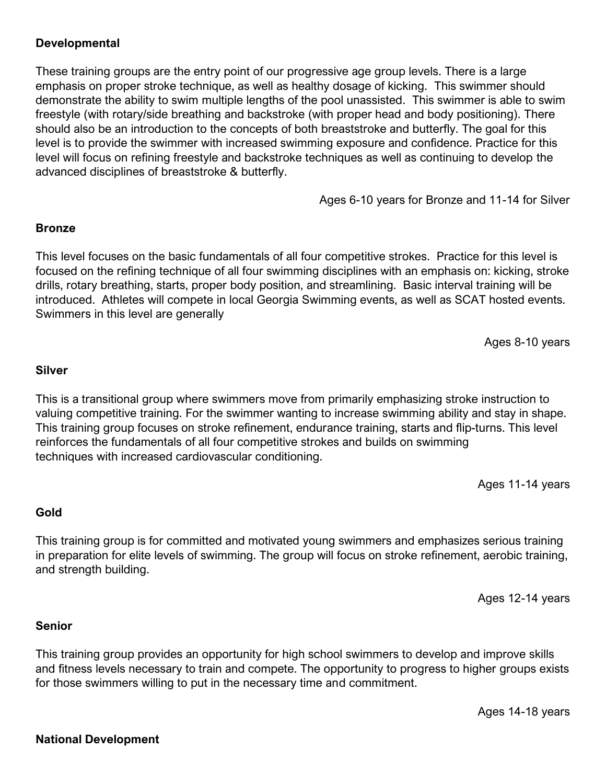## **Developmental**

These training groups are the entry point of our progressive age group levels. There is a large emphasis on proper stroke technique, as well as healthy dosage of kicking. This swimmer should demonstrate the ability to swim multiple lengths of the pool unassisted. This swimmer is able to swim freestyle (with rotary/side breathing and backstroke (with proper head and body positioning). There should also be an introduction to the concepts of both breaststroke and butterfly. The goal for this level is to provide the swimmer with increased swimming exposure and confidence. Practice for this level will focus on refining freestyle and backstroke techniques as well as continuing to develop the advanced disciplines of breaststroke & butterfly.

Ages 6-10 years for Bronze and 11-14 for Silver

### **Bronze**

This level focuses on the basic fundamentals of all four competitive strokes. Practice for this level is focused on the refining technique of all four swimming disciplines with an emphasis on: kicking, stroke drills, rotary breathing, starts, proper body position, and streamlining. Basic interval training will be introduced. Athletes will compete in local Georgia Swimming events, as well as SCAT hosted events. Swimmers in this level are generally

Ages 8-10 years

#### **Silver**

This is a transitional group where swimmers move from primarily emphasizing stroke instruction to valuing competitive training. For the swimmer wanting to increase swimming ability and stay in shape. This training group focuses on stroke refinement, endurance training, starts and flip-turns. This level reinforces the fundamentals of all four competitive strokes and builds on swimming techniques with increased cardiovascular conditioning.

Ages 11-14 years

#### **Gold**

This training group is for committed and motivated young swimmers and emphasizes serious training in preparation for elite levels of swimming. The group will focus on stroke refinement, aerobic training, and strength building.

Ages 12-14 years

### **Senior**

This training group provides an opportunity for high school swimmers to develop and improve skills and fitness levels necessary to train and compete. The opportunity to progress to higher groups exists for those swimmers willing to put in the necessary time and commitment.

Ages 14-18 years